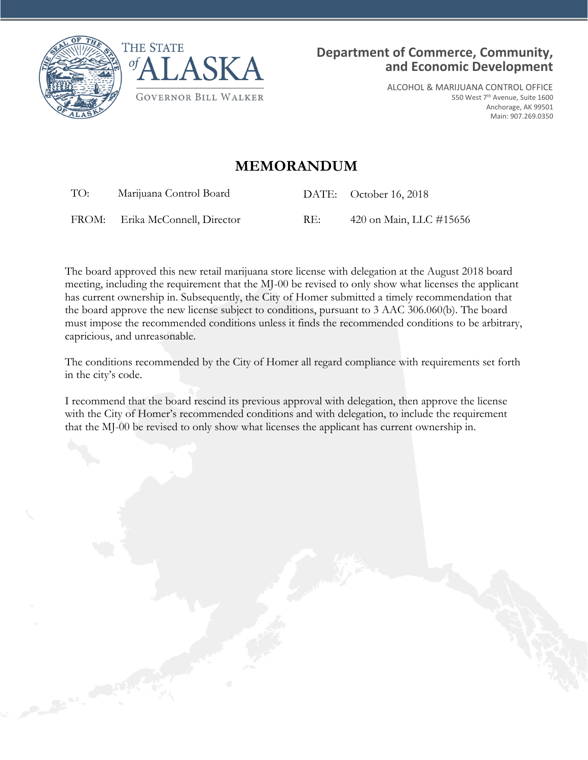



ALCOHOL & MARIJUANA CONTROL OFFICE 550 West 7th Avenue, Suite 1600 Anchorage, AK 99501 Main: 907.269.0350

## **MEMORANDUM**

TO: Marijuana Control Board DATE: October 16, 2018

FROM: Erika McConnell, Director RE: 420 on Main, LLC #15656

The board approved this new retail marijuana store license with delegation at the August 2018 board meeting, including the requirement that the MJ-00 be revised to only show what licenses the applicant has current ownership in. Subsequently, the City of Homer submitted a timely recommendation that the board approve the new license subject to conditions, pursuant to 3 AAC 306.060(b). The board must impose the recommended conditions unless it finds the recommended conditions to be arbitrary, capricious, and unreasonable.

The conditions recommended by the City of Homer all regard compliance with requirements set forth in the city's code.

I recommend that the board rescind its previous approval with delegation, then approve the license with the City of Homer's recommended conditions and with delegation, to include the requirement that the MJ-00 be revised to only show what licenses the applicant has current ownership in.